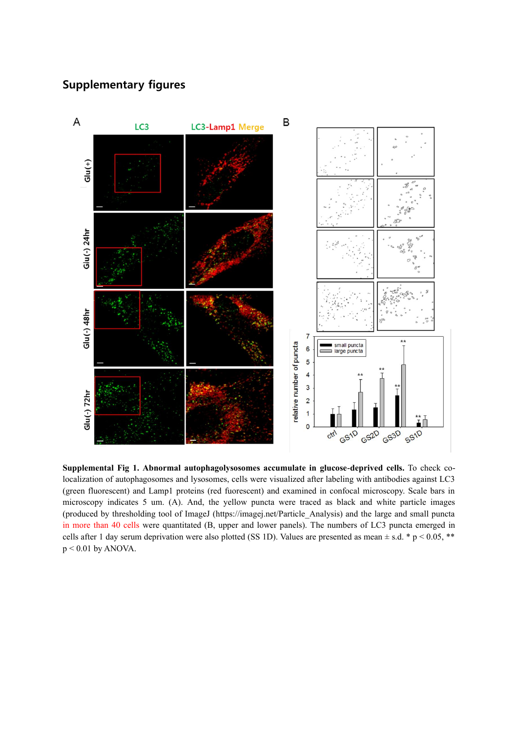## **Supplementary figures**



**Supplemental Fig 1. Abnormal autophagolysosomes accumulate in glucose-deprived cells.** To check colocalization of autophagosomes and lysosomes, cells were visualized after labeling with antibodies against LC3 (green fluorescent) and Lamp1 proteins (red fuorescent) and examined in confocal microscopy. Scale bars in microscopy indicates 5 um. (A). And, the yellow puncta were traced as black and white particle images (produced by thresholding tool of ImageJ (https://imagej.net/Particle\_Analysis) and the large and small puncta in more than 40 cells were quantitated (B, upper and lower panels). The numbers of LC3 puncta emerged in cells after 1 day serum deprivation were also plotted (SS 1D). Values are presented as mean  $\pm$  s.d. \* p < 0.05, \*\*  $p < 0.01$  by ANOVA.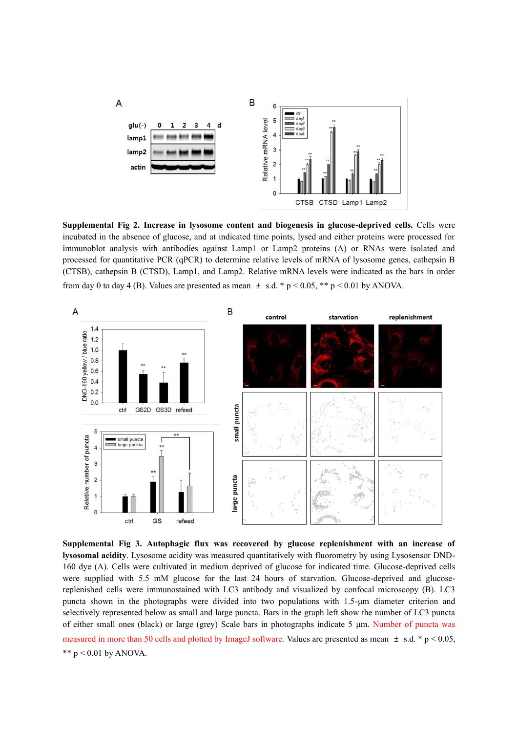

**Supplemental Fig 2. Increase in lysosome content and biogenesis in glucose-deprived cells.** Cells were incubated in the absence of glucose, and at indicated time points, lysed and either proteins were processed for immunoblot analysis with antibodies against Lamp1 or Lamp2 proteins (A) or RNAs were isolated and processed for quantitative PCR (qPCR) to determine relative levels of mRNA of lysosome genes, cathepsin B (CTSB), cathepsin B (CTSD), Lamp1, and Lamp2. Relative mRNA levels were indicated as the bars in order from day 0 to day 4 (B). Values are presented as mean  $\pm$  s.d. \* p < 0.05, \*\* p < 0.01 by ANOVA.



**Supplemental Fig 3. Autophagic flux was recovered by glucose replenishment with an increase of lysosomal acidity**. Lysosome acidity was measured quantitatively with fluorometry by using Lysosensor DND-160 dye (A). Cells were cultivated in medium deprived of glucose for indicated time. Glucose-deprived cells were supplied with 5.5 mM glucose for the last 24 hours of starvation. Glucose-deprived and glucosereplenished cells were immunostained with LC3 antibody and visualized by confocal microscopy (B). LC3 puncta shown in the photographs were divided into two populations with 1.5-μm diameter criterion and selectively represented below as small and large puncta. Bars in the graph left show the number of LC3 puncta of either small ones (black) or large (grey) Scale bars in photographs indicate 5 μm. Number of puncta was measured in more than 50 cells and plotted by ImageJ software. Values are presented as mean  $\pm$  s.d. \* p < 0.05, \*\*  $p < 0.01$  by ANOVA.